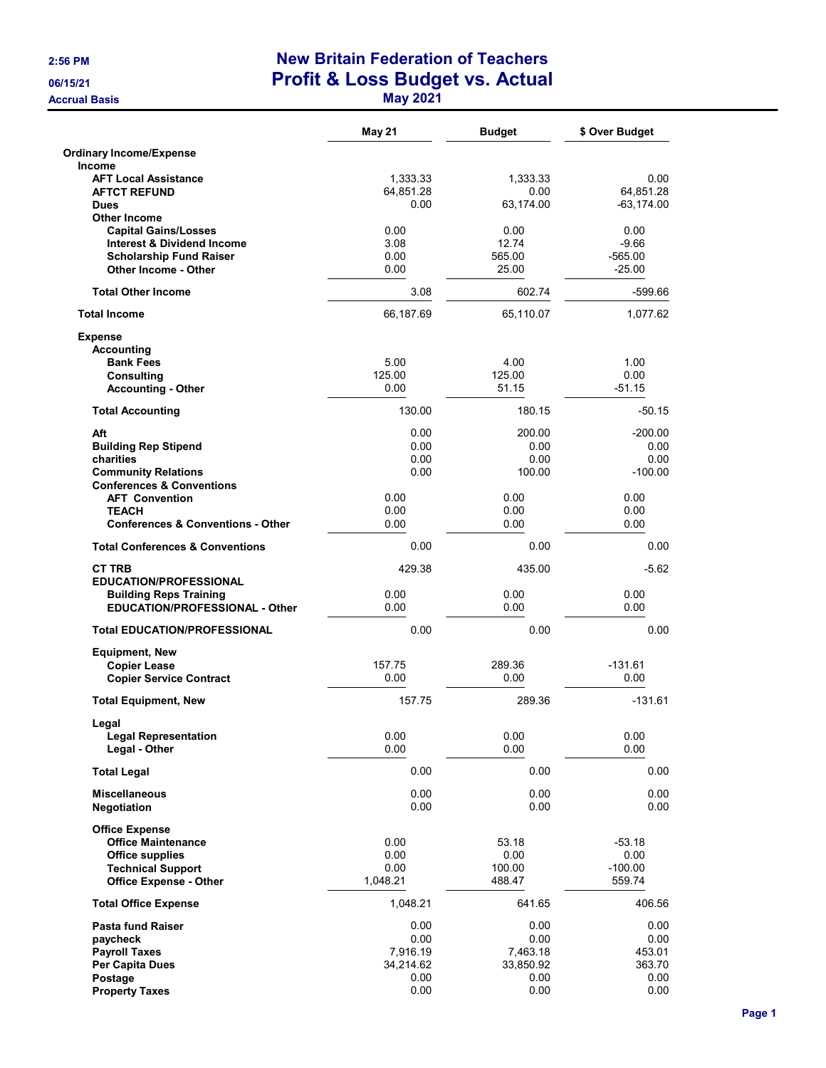**Accrual Basis** 

## 2:56 PM New Britain Federation of Teachers 06/15/21 Profit & Loss Budget vs. Actual

|  | M <sub>3</sub> |  |  |
|--|----------------|--|--|
|  |                |  |  |

|                                                                        | <b>May 21</b>     | <b>Budget</b>     | \$ Over Budget    |
|------------------------------------------------------------------------|-------------------|-------------------|-------------------|
| <b>Ordinary Income/Expense</b>                                         |                   |                   |                   |
| <b>Income</b>                                                          |                   |                   |                   |
| <b>AFT Local Assistance</b><br><b>AFTCT REFUND</b>                     | 1,333.33          | 1,333.33          | 0.00<br>64,851.28 |
| <b>Dues</b>                                                            | 64,851.28<br>0.00 | 0.00<br>63,174.00 | $-63, 174.00$     |
| <b>Other Income</b>                                                    |                   |                   |                   |
| <b>Capital Gains/Losses</b>                                            | 0.00              | 0.00              | 0.00              |
| <b>Interest &amp; Dividend Income</b>                                  | 3.08              | 12.74             | -9.66             |
| <b>Scholarship Fund Raiser</b>                                         | 0.00              | 565.00            | $-565.00$         |
| <b>Other Income - Other</b>                                            | 0.00              | 25.00             | $-25.00$          |
| <b>Total Other Income</b>                                              | 3.08              | 602.74            | $-599.66$         |
| <b>Total Income</b>                                                    | 66,187.69         | 65,110.07         | 1,077.62          |
| <b>Expense</b>                                                         |                   |                   |                   |
| <b>Accounting</b>                                                      |                   |                   |                   |
| <b>Bank Fees</b>                                                       | 5.00              | 4.00              | 1.00              |
| Consulting                                                             | 125.00            | 125.00            | 0.00              |
| <b>Accounting - Other</b>                                              | 0.00              | 51.15             | $-51.15$          |
| <b>Total Accounting</b>                                                | 130.00            | 180.15            | $-50.15$          |
| Aft                                                                    | 0.00              | 200.00            | $-200.00$         |
| <b>Building Rep Stipend</b>                                            | 0.00              | 0.00              | 0.00              |
| charities                                                              | 0.00              | 0.00              | 0.00              |
| <b>Community Relations</b>                                             | 0.00              | 100.00            | $-100.00$         |
| <b>Conferences &amp; Conventions</b>                                   |                   |                   |                   |
| <b>AFT Convention</b>                                                  | 0.00              | 0.00              | 0.00              |
| <b>TEACH</b>                                                           | 0.00              | 0.00              | 0.00              |
| <b>Conferences &amp; Conventions - Other</b>                           | 0.00              | 0.00              | 0.00              |
| <b>Total Conferences &amp; Conventions</b>                             | 0.00              | 0.00              | 0.00              |
| <b>CT TRB</b>                                                          | 429.38            | 435.00            | $-5.62$           |
| <b>EDUCATION/PROFESSIONAL</b>                                          |                   |                   |                   |
| <b>Building Reps Training</b><br><b>EDUCATION/PROFESSIONAL - Other</b> | 0.00<br>0.00      | 0.00<br>0.00      | 0.00<br>0.00      |
| <b>Total EDUCATION/PROFESSIONAL</b>                                    | 0.00              | 0.00              | 0.00              |
| <b>Equipment, New</b>                                                  |                   |                   |                   |
| <b>Copier Lease</b>                                                    | 157.75            | 289.36            | $-131.61$         |
| <b>Copier Service Contract</b>                                         | 0.00              | 0.00              | 0.00              |
| <b>Total Equipment, New</b>                                            | 157.75            | 289.36            | $-131.61$         |
| Legal                                                                  |                   |                   |                   |
| <b>Legal Representation</b><br>Legal - Other                           | 0.00<br>0.00      | 0.00<br>0.00      | 0.00<br>0.00      |
| <b>Total Legal</b>                                                     | 0.00              | 0.00              | 0.00              |
|                                                                        | 0.00              | 0.00              |                   |
| <b>Miscellaneous</b><br>Negotiation                                    | 0.00              | 0.00              | 0.00<br>0.00      |
| <b>Office Expense</b>                                                  |                   |                   |                   |
| <b>Office Maintenance</b>                                              | 0.00              | 53.18             | $-53.18$          |
| <b>Office supplies</b>                                                 | 0.00              | 0.00              | 0.00              |
| <b>Technical Support</b>                                               | 0.00              | 100.00            | $-100.00$         |
| <b>Office Expense - Other</b>                                          | 1,048.21          | 488.47            | 559.74            |
| <b>Total Office Expense</b>                                            | 1,048.21          | 641.65            | 406.56            |
| <b>Pasta fund Raiser</b>                                               | 0.00              | 0.00              | 0.00              |
| paycheck                                                               | 0.00<br>7,916.19  | 0.00<br>7,463.18  | 0.00<br>453.01    |
| <b>Payroll Taxes</b><br><b>Per Capita Dues</b>                         | 34,214.62         | 33,850.92         | 363.70            |
| Postage                                                                | 0.00              | 0.00              | 0.00              |
| <b>Property Taxes</b>                                                  | 0.00              | 0.00              | 0.00              |
|                                                                        |                   |                   |                   |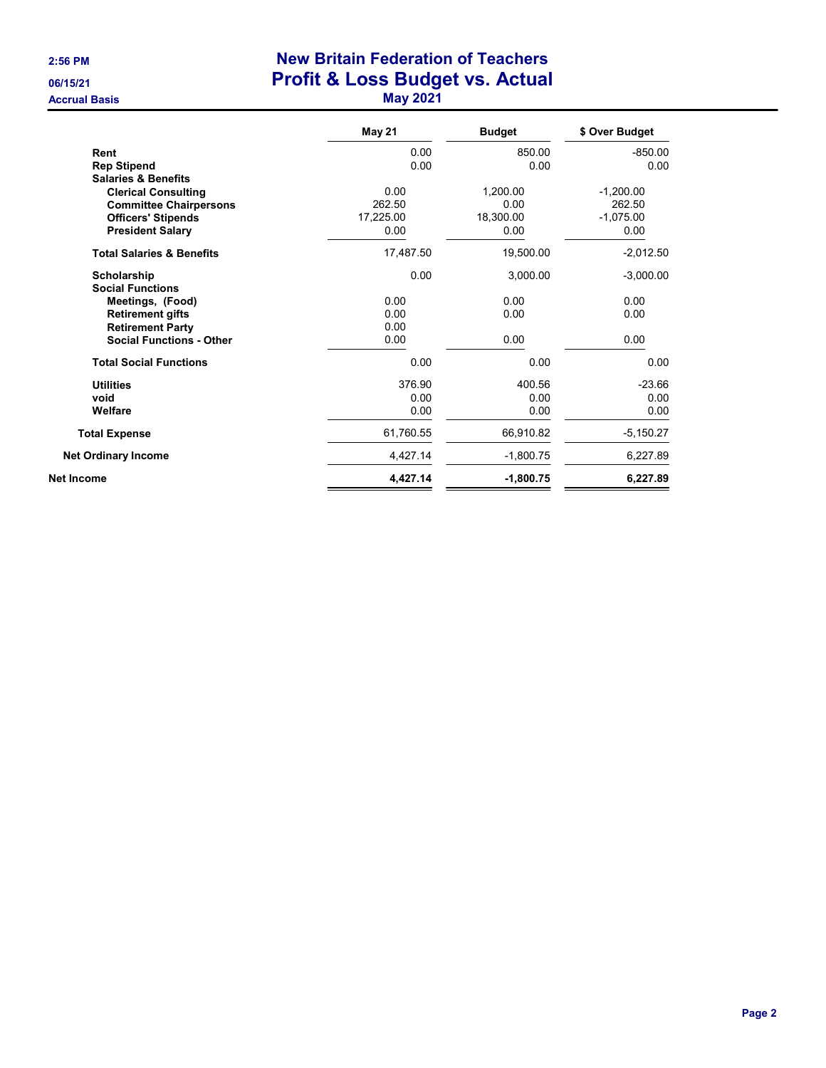**Accrual Basis** 

## 2:56 PM New Britain Federation of Teachers 06/15/21 06/15/21 Profit & Loss Budget vs. Actual<br>Accrual Basis May 2021

| a<br>we | u |
|---------|---|
|---------|---|

|                                                                                                                                                       | <b>May 21</b>                       | <b>Budget</b>                         | \$ Over Budget                               |
|-------------------------------------------------------------------------------------------------------------------------------------------------------|-------------------------------------|---------------------------------------|----------------------------------------------|
| Rent                                                                                                                                                  | 0.00                                | 850.00                                | $-850.00$                                    |
| <b>Rep Stipend</b>                                                                                                                                    | 0.00                                | 0.00                                  | 0.00                                         |
| <b>Salaries &amp; Benefits</b><br><b>Clerical Consulting</b><br><b>Committee Chairpersons</b><br><b>Officers' Stipends</b><br><b>President Salary</b> | 0.00<br>262.50<br>17,225.00<br>0.00 | 1,200.00<br>0.00<br>18,300.00<br>0.00 | $-1,200.00$<br>262.50<br>$-1,075.00$<br>0.00 |
| <b>Total Salaries &amp; Benefits</b>                                                                                                                  | 17,487.50                           | 19,500.00                             | $-2,012.50$                                  |
| Scholarship<br><b>Social Functions</b>                                                                                                                | 0.00                                | 3,000.00                              | $-3,000.00$                                  |
| Meetings, (Food)                                                                                                                                      | 0.00                                | 0.00                                  | 0.00                                         |
| <b>Retirement gifts</b>                                                                                                                               | 0.00                                | 0.00                                  | 0.00                                         |
| <b>Retirement Party</b>                                                                                                                               | 0.00                                |                                       |                                              |
| <b>Social Functions - Other</b>                                                                                                                       | 0.00                                | 0.00                                  | 0.00                                         |
| <b>Total Social Functions</b>                                                                                                                         | 0.00                                | 0.00                                  | 0.00                                         |
| <b>Utilities</b>                                                                                                                                      | 376.90                              | 400.56                                | $-23.66$                                     |
| void                                                                                                                                                  | 0.00                                | 0.00                                  | 0.00                                         |
| Welfare                                                                                                                                               | 0.00                                | 0.00                                  | 0.00                                         |
| <b>Total Expense</b>                                                                                                                                  | 61,760.55                           | 66,910.82                             | $-5,150.27$                                  |
| <b>Net Ordinary Income</b>                                                                                                                            | 4,427.14                            | $-1,800.75$                           | 6,227.89                                     |
| Net Income                                                                                                                                            | 4,427.14                            | $-1,800.75$                           | 6,227.89                                     |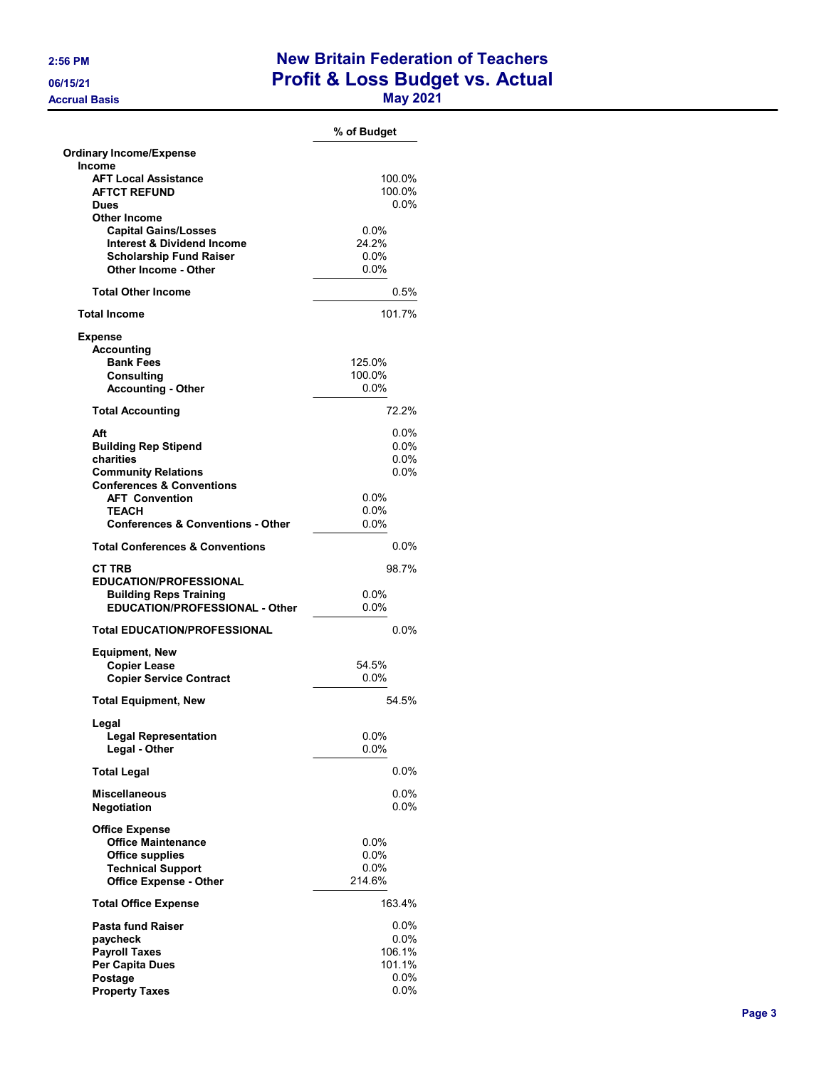**Accrual Basis** 

## 2:56 PM New Britain Federation of Teachers 06/15/21 06/15/21 Profit & Loss Budget vs. Actual<br>Accrual Basis May 2021

| -<br>w |  |
|--------|--|
|--------|--|

|                                              | % of Budget |
|----------------------------------------------|-------------|
| <b>Ordinary Income/Expense</b>               |             |
| Income                                       |             |
| <b>AFT Local Assistance</b>                  | 100.0%      |
| <b>AFTCT REFUND</b>                          | 100.0%      |
| <b>Dues</b>                                  | $0.0\%$     |
| <b>Other Income</b>                          |             |
| <b>Capital Gains/Losses</b>                  | $0.0\%$     |
| <b>Interest &amp; Dividend Income</b>        | 24.2%       |
|                                              | 0.0%        |
| <b>Scholarship Fund Raiser</b>               |             |
| Other Income - Other                         | 0.0%        |
| <b>Total Other Income</b>                    | 0.5%        |
| <b>Total Income</b>                          | 101 7%      |
| <b>Expense</b>                               |             |
| <b>Accounting</b>                            |             |
|                                              |             |
| <b>Bank Fees</b>                             | 125.0%      |
| Consulting                                   | 100.0%      |
| <b>Accounting - Other</b>                    | 0.0%        |
| <b>Total Accounting</b>                      | 72.2%       |
| Aft                                          | 0.0%        |
|                                              | $0.0\%$     |
| <b>Building Rep Stipend</b>                  |             |
| charities                                    | $0.0\%$     |
| <b>Community Relations</b>                   | $0.0\%$     |
| <b>Conferences &amp; Conventions</b>         |             |
| <b>AFT Convention</b>                        | $0.0\%$     |
| <b>TEACH</b>                                 | 0.0%        |
| <b>Conferences &amp; Conventions - Other</b> | 0.0%        |
| <b>Total Conferences &amp; Conventions</b>   | $0.0\%$     |
|                                              |             |
| <b>CT TRB</b>                                | 98.7%       |
| <b>EDUCATION/PROFESSIONAL</b>                |             |
| <b>Building Reps Training</b>                | $0.0\%$     |
| <b>EDUCATION/PROFESSIONAL - Other</b>        | 0.0%        |
| <b>Total EDUCATION/PROFESSIONAL</b>          | $0.0\%$     |
|                                              |             |
| <b>Equipment, New</b>                        |             |
| <b>Copier Lease</b>                          | 54.5%       |
| <b>Copier Service Contract</b>               | 0.0%        |
| <b>Total Equipment, New</b>                  | 54.5%       |
| Legal                                        |             |
| <b>Legal Representation</b>                  | $0.0\%$     |
|                                              | $0.0\%$     |
| Legal - Other                                |             |
| <b>Total Legal</b>                           | $0.0\%$     |
| <b>Miscellaneous</b>                         | $0.0\%$     |
| Negotiation                                  | 0.0%        |
| <b>Office Expense</b>                        |             |
| <b>Office Maintenance</b>                    | $0.0\%$     |
| <b>Office supplies</b>                       | $0.0\%$     |
|                                              |             |
| <b>Technical Support</b>                     | $0.0\%$     |
| <b>Office Expense - Other</b>                | 214.6%      |
| <b>Total Office Expense</b>                  | 163.4%      |
| <b>Pasta fund Raiser</b>                     | $0.0\%$     |
| paycheck                                     | $0.0\%$     |
| <b>Payroll Taxes</b>                         | 106.1%      |
| Per Capita Dues                              | 101.1%      |
|                                              |             |
| Postage                                      | $0.0\%$     |
| <b>Property Taxes</b>                        | $0.0\%$     |